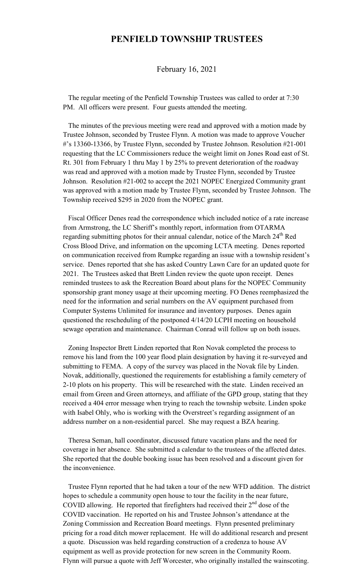## **PENFIELD TOWNSHIP TRUSTEES**

## February 16, 2021

 The regular meeting of the Penfield Township Trustees was called to order at 7:30 PM. All officers were present. Four guests attended the meeting.

 The minutes of the previous meeting were read and approved with a motion made by Trustee Johnson, seconded by Trustee Flynn. A motion was made to approve Voucher #'s 13360-13366, by Trustee Flynn, seconded by Trustee Johnson. Resolution #21-001 requesting that the LC Commissioners reduce the weight limit on Jones Road east of St. Rt. 301 from February 1 thru May 1 by 25% to prevent deterioration of the roadway was read and approved with a motion made by Trustee Flynn, seconded by Trustee Johnson. Resolution #21-002 to accept the 2021 NOPEC Energized Community grant was approved with a motion made by Trustee Flynn, seconded by Trustee Johnson. The Township received \$295 in 2020 from the NOPEC grant.

 Fiscal Officer Denes read the correspondence which included notice of a rate increase from Armstrong, the LC Sheriff's monthly report, information from OTARMA regarding submitting photos for their annual calendar, notice of the March 24<sup>th</sup> Red Cross Blood Drive, and information on the upcoming LCTA meeting. Denes reported on communication received from Rumpke regarding an issue with a township resident's service. Denes reported that she has asked Country Lawn Care for an updated quote for 2021. The Trustees asked that Brett Linden review the quote upon receipt. Denes reminded trustees to ask the Recreation Board about plans for the NOPEC Community sponsorship grant money usage at their upcoming meeting. FO Denes reemphasized the need for the information and serial numbers on the AV equipment purchased from Computer Systems Unlimited for insurance and inventory purposes. Denes again questioned the rescheduling of the postponed 4/14/20 LCPH meeting on household sewage operation and maintenance. Chairman Conrad will follow up on both issues.

 Zoning Inspector Brett Linden reported that Ron Novak completed the process to remove his land from the 100 year flood plain designation by having it re-surveyed and submitting to FEMA. A copy of the survey was placed in the Novak file by Linden. Novak, additionally, questioned the requirements for establishing a family cemetery of 2-10 plots on his property. This will be researched with the state. Linden received an email from Green and Green attorneys, and affiliate of the GPD group, stating that they received a 404 error message when trying to reach the township website. Linden spoke with Isabel Ohly, who is working with the Overstreet's regarding assignment of an address number on a non-residential parcel. She may request a BZA hearing.

 Theresa Seman, hall coordinator, discussed future vacation plans and the need for coverage in her absence. She submitted a calendar to the trustees of the affected dates. She reported that the double booking issue has been resolved and a discount given for the inconvenience.

 Trustee Flynn reported that he had taken a tour of the new WFD addition. The district hopes to schedule a community open house to tour the facility in the near future, COVID allowing. He reported that firefighters had received their  $2<sup>nd</sup>$  dose of the COVID vaccination. He reported on his and Trustee Johnson's attendance at the Zoning Commission and Recreation Board meetings. Flynn presented preliminary pricing for a road ditch mower replacement. He will do additional research and present a quote. Discussion was held regarding construction of a credenza to house AV equipment as well as provide protection for new screen in the Community Room. Flynn will pursue a quote with Jeff Worcester, who originally installed the wainscoting.